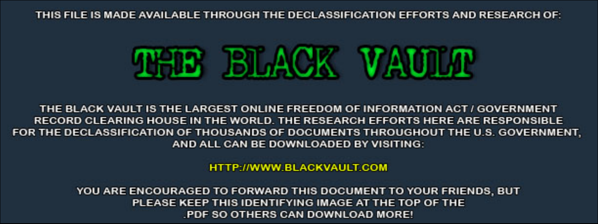THIS FILE IS MADE AVAILABLE THROUGH THE DECLASSIFICATION EFFORTS AND RESEARCH OF:



THE BLACK VAULT IS THE LARGEST ONLINE FREEDOM OF INFORMATION ACT / GOVERNMENT RECORD CLEARING HOUSE IN THE WORLD. THE RESEARCH EFFORTS HERE ARE RESPONSIBLE FOR THE DECLASSIFICATION OF THOUSANDS OF DOCUMENTS THROUGHOUT THE U.S. GOVERNMENT, AND ALL CAN BE DOWNLOADED BY VISITING:

**HTTP://WWW.BLACKVAULT.COM** 

YOU ARE ENCOURAGED TO FORWARD THIS DOCUMENT TO YOUR FRIENDS, BUT PLEASE KEEP THIS IDENTIFYING IMAGE AT THE TOP OF THE PDF SO OTHERS CAN DOWNLOAD MORE!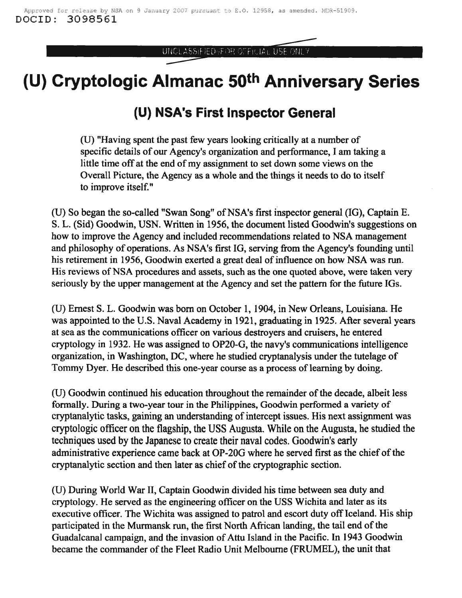UNCLASSIFIED (FOR OFFICIAL USE ONLY

## **(U) Cryptologic Almanac 50th Anniversary Series**

## **(U) NSA's First Inspector General**

(U) "Having spent the past few years looking critically at a number of specific details of our Agency's organization and performance, I am taking a little time off at the end of my assignment to set down some views on the Overall Picture, the Agency as a whole and the things it needs to do to itself to improve itself."

(U) So began the so-called "Swan Song" of NSA's first inspector general (IG), Captain E. S. L. (Sid) Goodwin, USN. Written in 1956, the document listed Goodwin's suggestions on how to improve the Agency and included recommendations related to NSA management and philosophy of operations. As NSA's first IG, serving from the Agency's founding until his retirement in 1956, Goodwin exerted a great deal of influence on how NSA was run. His reviews of NSA procedures and assets, such as the one quoted above, were taken very seriously by the upper management at the Agency and set the pattern for the future IGs.

(U) Ernest S. L. Goodwin was born on October 1, 1904, in New Orleans, Louisiana. He was appointed to the U.S. Naval Academy in 1921, graduating in 1925. After several years at sea as the communications officer on various destroyers and cruisers, he entered cryptology in 1932. He was assigned to OP20-G, the navy's communications intelligence organization, in Washington, DC, where he studied cryptanalysis under the tutelage of Tommy Dyer. He described this one-year course as a process of learning by doing.

(U) Goodwin continued his education throughout the remainder of the decade, albeit less formally. During a two-year tour in the Philippines, Goodwin performed a variety of cryptanalytic tasks, gaining an understanding of intercept issues. His next assignment was cryptologic officer on the flagship, the USS Augusta. While on the Augusta, he studied the techniques used by the Japanese to create their naval codes. Goodwin's early administrative experience came back at OP-20G where he served first as the chief of the cryptanalytic section and then later as chief of the cryptographic section.

(U) During World War II, Captain Goodwin divided his time between sea duty and cryptology. He served as the engineering officer on the USS Wichita and later as its executive officer. The Wichita was assigned to patrol and escort duty off Iceland. His ship participated in the Murmansk run, the first North African landing, the tail end of the Guadalcanal campaign, and the invasion of Attu Island in the Pacific. In 1943 Goodwin became the commander of the Fleet Radio Unit Melbourne (FRUMEL), the unit that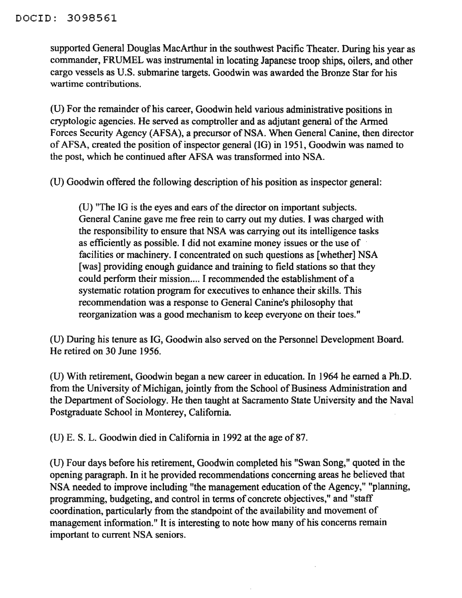supported General Douglas MacArthur in the southwest Pacific Theater. During his year as commander, FRUMEL was instrumental in locating Japanese troop ships, oilers, and other cargo vessels as U.S. submarine targets. Goodwin was awarded the Bronze Star for his wartime contributions.

(U) For the remainder of his career, Goodwin held various administrative positions in cryptologic agencies. He served as comptroller and as adjutant general of the Armed Forces Security Agency (AFSA), a precursor of NSA. When General Canine, then director ofAFSA, created the position of inspector general (IG) in 1951, Goodwin was named to the post, which he continued after AFSA was transformed into NSA.

(U) Goodwin offered the following description of his position as inspector general:

(U) "The IG is the eyes and ears of the director on important subjects. General Canine gave me free rein to carry out my duties. I was charged with the responsibility to ensure that NSA was carrying out its intelligence tasks as efficiently as possible. I did not examine money issues or the use of facilities or machinery. I concentrated on such questions as [whether] NSA [was] providing enough guidance and training to field stations so that they could perform their mission.... I recommended the establishment of a systematic rotation program for executives to enhance their skills. This recommendation was a response to General Canine's philosophy that reorganization was a good mechanism to keep everyone on their toes."

(U) During his tenure as IG, Goodwin also served on the Personnel Development Board. He retired on 30 June 1956.

(U) With retirement, Goodwin began a new career in education. In 1964 he earned a Ph.D. from the University of Michigan, jointly from the School of Business Administration and the Department of Sociology. He then taught at Sacramento State University and the Naval Postgraduate School in Monterey, California.

(U) E. S. L. Goodwin died in California in 1992 at the age of 87.

(D) Four days before his retirement, Goodwin completed his "Swan Song," quoted in the opening paragraph. In it he provided recommendations concerning areas he believed that NSA needed to improve including "the management education of the Agency," "planning, programming, budgeting, and control in terms of concrete objectives," and "staff coordination, particularly from the standpoint of the availability and movement of management information." It is interesting to note how many of his concerns remain important to current NSA seniors.